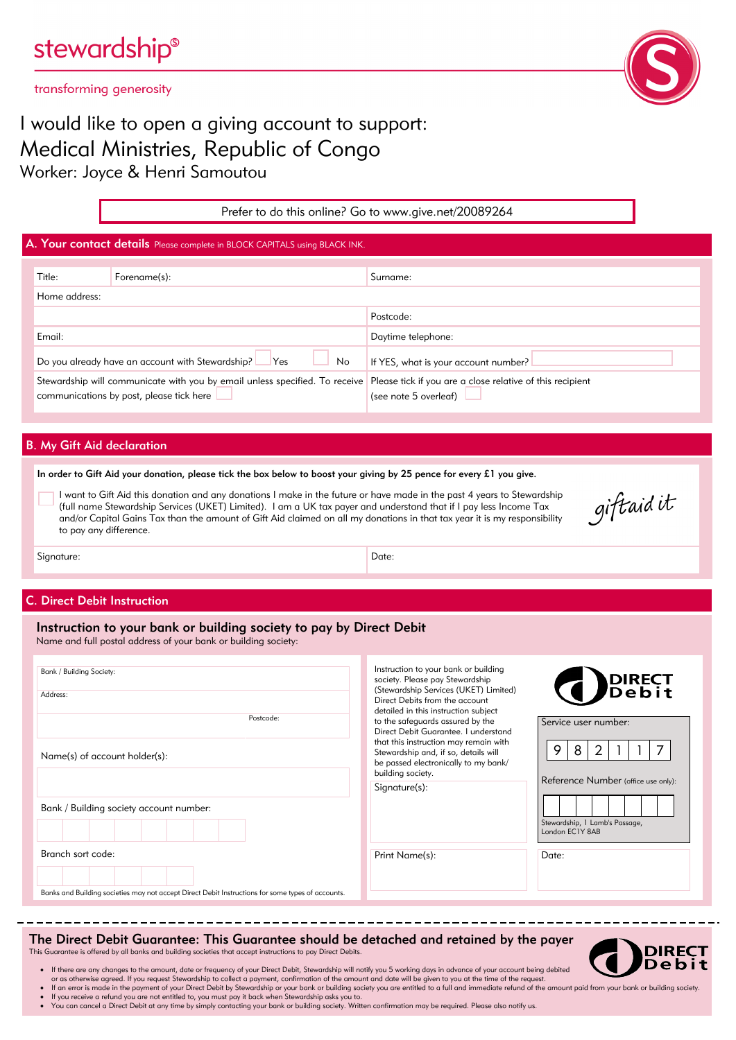#### transforming generosity

## I would like to open a giving account to support: Medical Ministries, Republic of Congo Worker: Joyce & Henri Samoutou

|                                                                            |                                                                                                                         | Prefer to do this online? Go to www.give.net/20089264 |                                                                                    |  |  |  |  |
|----------------------------------------------------------------------------|-------------------------------------------------------------------------------------------------------------------------|-------------------------------------------------------|------------------------------------------------------------------------------------|--|--|--|--|
| A. Your contact details Please complete in BLOCK CAPITALS using BLACK INK. |                                                                                                                         |                                                       |                                                                                    |  |  |  |  |
|                                                                            | Title:                                                                                                                  | Forename(s):                                          | Surname:                                                                           |  |  |  |  |
|                                                                            | Home address:                                                                                                           |                                                       | Postcode:                                                                          |  |  |  |  |
|                                                                            | Email:                                                                                                                  |                                                       | Daytime telephone:                                                                 |  |  |  |  |
|                                                                            | Do you already have an account with Stewardship?<br>Yes<br>No                                                           |                                                       | If YES, what is your account number?                                               |  |  |  |  |
|                                                                            | Stewardship will communicate with you by email unless specified. To receive<br>communications by post, please tick here |                                                       | Please tick if you are a close relative of this recipient<br>(see note 5 overleaf) |  |  |  |  |
|                                                                            |                                                                                                                         |                                                       |                                                                                    |  |  |  |  |
| <b>B.</b> My Gift Aid declaration                                          |                                                                                                                         |                                                       |                                                                                    |  |  |  |  |

# In order to Gift Aid your donation, please tick the box below to boost your giving by 25 pence for every £1 you give.

I want to Gift Aid this donation and any donations I make in the future or have made in the past 4 years to Stewardship (full name Stewardship Services (UKET) Limited). I am a UK tax payer and understand that if I pay less Income Tax and/or Capital Gains Tax than the amount of Gift Aid claimed on all my donations in that tax year it is my responsibility to pay any difference.

giftaidit

Signature: Date: Date: Date: Date: Date: Date: Date: Date: Date: Date: Date: Date: Date: Date: Date: Date: Date: Date: Date: Date: Date: Date: Date: Date: Date: Date: Date: Date: Date: Date: Date: Date: Date: Date: Date: D

#### C. Direct Debit Instruction

# Instruction to your bank or building society to pay by Direct Debit

Name and full postal address of your bank or building society:

| Bank / Building Society:<br>Address:<br>Postcode:                                                                      | Instruction to your bank or building<br>society. Please pay Stewardship<br>(Stewardship Services (UKET) Limited)<br>Direct Debits from the account<br>detailed in this instruction subject<br>to the safeguards assured by the | <b>DIRECT</b><br>Debit<br>$\left( \right)$<br>Service user number:                                 |  |
|------------------------------------------------------------------------------------------------------------------------|--------------------------------------------------------------------------------------------------------------------------------------------------------------------------------------------------------------------------------|----------------------------------------------------------------------------------------------------|--|
| Name(s) of account holder(s):                                                                                          | Direct Debit Guarantee. I understand<br>that this instruction may remain with<br>Stewardship and, if so, details will<br>be passed electronically to my bank/<br>building society.<br>Signature(s):                            | 8<br>9<br>Reference Number (office use only):<br>Stewardship, 1 Lamb's Passage,<br>London EC1Y 8AB |  |
| Bank / Building society account number:                                                                                |                                                                                                                                                                                                                                |                                                                                                    |  |
| Branch sort code:<br>Banks and Building societies may not accept Direct Debit Instructions for some types of accounts. | Print Name(s):                                                                                                                                                                                                                 | Date:                                                                                              |  |

#### The Direct Debit Guarantee: This Guarantee should be detached and retained by the payer This Guarantee is offered by all banks and building societies that accept instructions to pay Direct Debits.



- · If there are any changes to the amount, date or frequency of your Direct Debit, Stewardship will notify you 5 working days in advance of your account being debited
- or as otherwise agreed. If you request Stewardship to collect a payment, confirmation of the amount and date will be given to you at the time of the request.<br>If an error is made in the payment of your Direct Debit by Stewa
- If you receive a refund you are not entitled to, you must pay it back when Stewardship asks you to.<br>• You can cancel a Direct Debit at any time by simply contacting your bank or building society. Written confirmation may